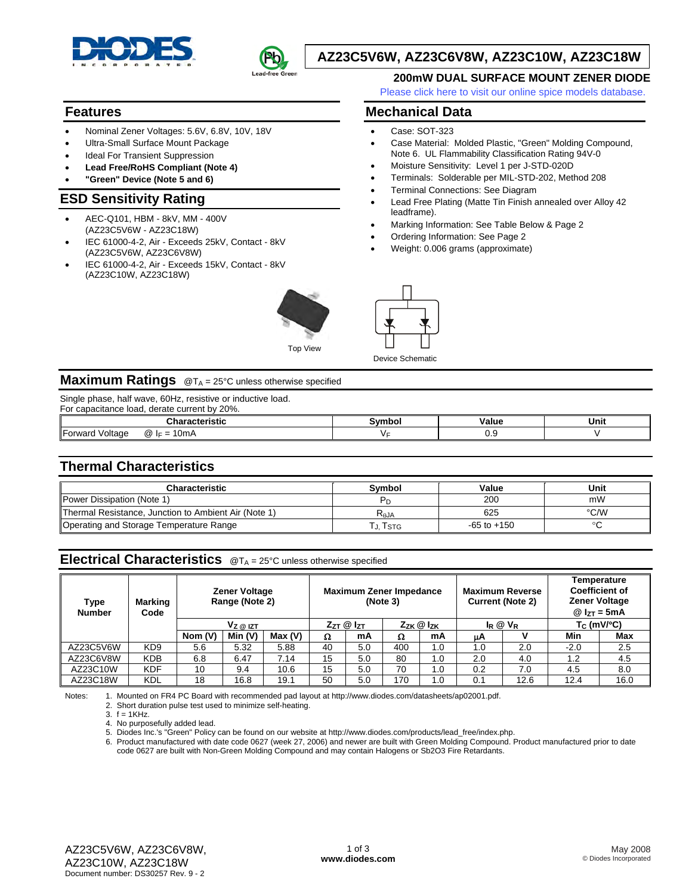



# **AZ23C5V6W, AZ23C6V8W, AZ23C10W, AZ23C18W**

• Terminal Connections: See Diagram

• Ordering Information: See Page 2 • Weight: 0.006 grams (approximate)

**Mechanical Data**  • Case: SOT-323

leadframe).

Device Schematic

#### **200mW DUAL SURFACE MOUNT ZENER DIODE**

[Please click here to visit our online spice models database.](http://www.diodes.com/products/spicemodels/index.php)

• Case Material: Molded Plastic, "Green" Molding Compound, Note 6. UL Flammability Classification Rating 94V-0 • Moisture Sensitivity: Level 1 per J-STD-020D • Terminals: Solderable per MIL-STD-202, Method 208

• Lead Free Plating (Matte Tin Finish annealed over Alloy 42

• Marking Information: See Table Below & Page 2

### **Features**

- Nominal Zener Voltages: 5.6V, 6.8V, 10V, 18V
- Ultra-Small Surface Mount Package
- **Ideal For Transient Suppression**
- **Lead Free/RoHS Compliant (Note 4)**
- **"Green" Device (Note 5 and 6)**

### **ESD Sensitivity Rating**

- AEC-Q101, HBM 8kV, MM 400V (AZ23C5V6W - AZ23C18W)
- IEC 61000-4-2, Air Exceeds 25kV, Contact 8kV (AZ23C5V6W, AZ23C6V8W)
- IEC 61000-4-2, Air Exceeds 15kV, Contact 8kV (AZ23C10W, AZ23C18W)



Top View

### **Maximum Ratings** @T<sub>A</sub> = 25°C unless otherwise specified

Single phase, half wave, 60Hz, resistive or inductive load.

| -<br>$.20\%$ .<br>. derate current bv .<br>loao<br>For capacitance, |      |       |      |  |  |  |  |
|---------------------------------------------------------------------|------|-------|------|--|--|--|--|
| racteristic<br>ان ا                                                 | ™h∩. | ∀alue | Unit |  |  |  |  |
| Forward<br>!0mA<br>oltage<br>$^{\textregistered}$<br>$I =$          |      | ∪.∪   |      |  |  |  |  |

### **Thermal Characteristics**

| Characteristic                                       | Svmbol    | Value           | Unit |
|------------------------------------------------------|-----------|-----------------|------|
| <b>IPower Dissipation (Note 1)</b>                   |           | 200             | mW   |
| Thermal Resistance, Junction to Ambient Air (Note 1) | $R_{AJA}$ | 625             | °C/W |
| Operating and Storage Temperature Range              | . I stg   | $-65$ to $+150$ |      |

### **Electrical Characteristics** @TA = 25°C unless otherwise specified

| Type<br><b>Number</b> | Marking<br>Code | <b>Zener Voltage</b><br>Range (Note 2) |        |                                                |    | <b>Maximum Zener Impedance</b> | (Note 3)          |     | <b>Maximum Reverse</b> | <b>Current (Note 2)</b> | Temperature<br><b>Coefficient of</b><br><b>Zener Voltage</b><br>$@I_{7T} = 5mA$ |      |
|-----------------------|-----------------|----------------------------------------|--------|------------------------------------------------|----|--------------------------------|-------------------|-----|------------------------|-------------------------|---------------------------------------------------------------------------------|------|
|                       |                 | $V_Z \otimes IZ$                       |        | $Z_{ZT}$ $@$ $I_{ZT}$<br>$Z_{ZK}$ $@$ $I_{ZK}$ |    |                                | $I_R \otimes V_R$ |     | $T_C$ (mV/ $°C$ )      |                         |                                                                                 |      |
|                       |                 | Nom (V)                                | Min(V) | Max(V)                                         | Ω  | mA                             | Ω                 | mA  | μA                     |                         | Min                                                                             | Max  |
| AZ23C5V6W             | KD <sub>9</sub> | 5.6                                    | 5.32   | 5.88                                           | 40 | 5.0                            | 400               | 1.0 | $\cdot$ 0.             | 2.0                     | $-2.0$                                                                          | 2.5  |
| AZ23C6V8W             | <b>KDB</b>      | 6.8                                    | 6.47   | 7.14                                           | 15 | 5.0                            | 80                | 1.0 | 2.0                    | 4.0                     | 1.2                                                                             | 4.5  |
| AZ23C10W              | KDF             | 10                                     | 9.4    | 10.6                                           | 15 | 5.0                            | 70                | 1.0 | 0.2                    | 7.0                     | 4.5                                                                             | 8.0  |
| AZ23C18W              | KDL             | 18                                     | 16.8   | 19.1                                           | 50 | 5.0                            | 170               | 1.0 | 0.1                    | 12.6                    | 12.4                                                                            | 16.0 |

Notes: 1. Mounted on FR4 PC Board with recommended pad layout at http://www.diodes.com/datasheets/ap02001.pdf. 2. Short duration pulse test used to minimize self-heating.

 $3. f = 1KHz$ .

4. No purposefully added lead.

5. Diodes Inc.'s "Green" Policy can be found on our website at http://www.diodes.com/products/lead\_free/index.php.

6. Product manufactured with date code 0627 (week 27, 2006) and newer are built with Green Molding Compound. Product manufactured prior to date code 0627 are built with Non-Green Molding Compound and may contain Halogens or Sb2O3 Fire Retardants.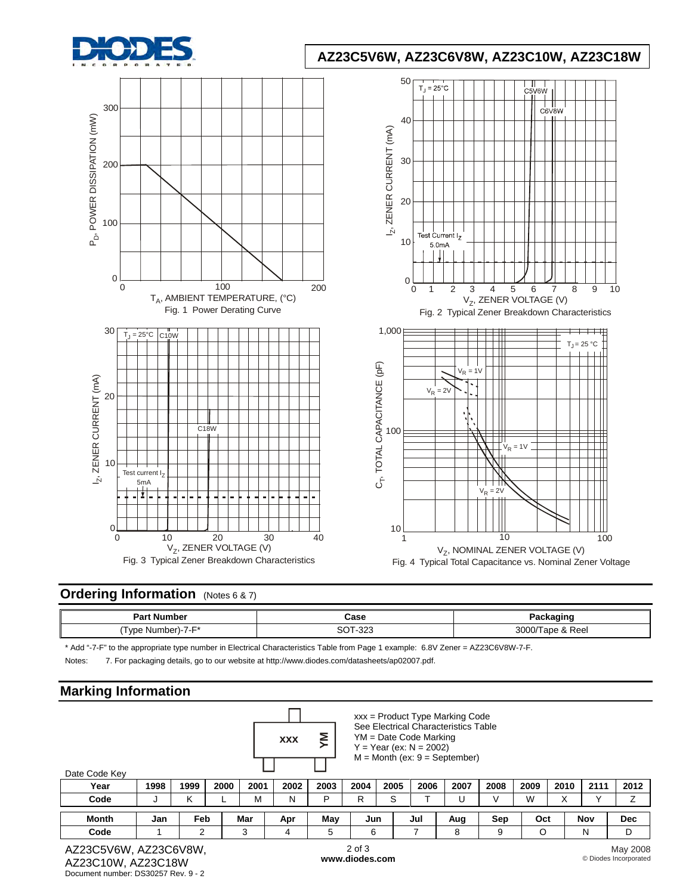

# **AZ23C5V6W, AZ23C6V8W, AZ23C10W, AZ23C18W**



## **Ordering Information** (Notes 6 & 7)

| Part<br>. Number     | Case                                          | ∠anin⊂<br>aunc<br>--     |
|----------------------|-----------------------------------------------|--------------------------|
| I vpe<br>Number)-7-F | 0.00<br>ົີ<br>ےت∹<br>$\overline{\phantom{a}}$ | 3000<br>Reel<br>ape<br>ີ |

\* Add "-7-F" to the appropriate type number in Electrical Characteristics Table from Page 1 example: 6.8V Zener = AZ23C6V8W-7-F.

Notes: 7. For packaging details, go to our website at [http://www.diodes.com/datasheets/ap02007.pdf.](http://www.diodes.com/datasheets/ap02007.pdf)

## **Marking Information**

| ັ                                          |      |            |      |      |            |      |                              |      |                                                       |                                                                                                                |      |      |      |      |                                   |
|--------------------------------------------|------|------------|------|------|------------|------|------------------------------|------|-------------------------------------------------------|----------------------------------------------------------------------------------------------------------------|------|------|------|------|-----------------------------------|
| Date Code Key                              |      |            |      |      | <b>XXX</b> | Σ    |                              |      | $YM = Date Code$ Marking<br>$Y = Year (ex: N = 2002)$ | $xxx = Product Type$ Marking Code<br>See Electrical Characteristics Table<br>$M =$ Month (ex: $9 =$ September) |      |      |      |      |                                   |
| Year                                       | 1998 | 1999       | 2000 | 2001 | 2002       | 2003 | 2004                         | 2005 | 2006                                                  | 2007                                                                                                           | 2008 | 2009 | 2010 | 2111 | 2012                              |
| Code                                       | J    | ĸ          |      | м    | Ν          | P    | R                            | S    |                                                       | U                                                                                                              |      | W    | X    | v    | Z                                 |
| Month                                      | Jan  | <b>Feb</b> |      | Mar  | Apr        | May  | Jun                          |      | Jul                                                   | Aug                                                                                                            | Sep  | Oct  |      | Nov  | <b>Dec</b>                        |
| Code                                       |      | 2          |      | 3    | 4          | 5    | 6                            |      |                                                       | 8                                                                                                              | 9    | O    |      | N    | D                                 |
| AZ23C5V6W, AZ23C6V8W,<br>AZ23C10M AZ23C18M |      |            |      |      |            |      | $2$ of $3$<br>www.diodes.com |      |                                                       |                                                                                                                |      |      |      |      | May 2008<br>© Diodes Incorporated |

AZ23C10W, AZ23C18W Document number: DS30257 Rev. 9 - 2